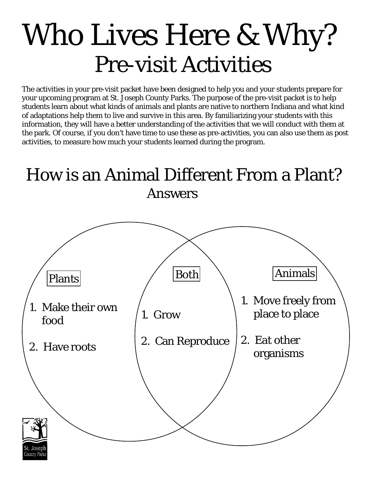# Who Lives Here & Why? Pre-visit Activities

The activities in your pre-visit packet have been designed to help you and your students prepare for your upcoming program at St. Joseph County Parks. The purpose of the pre-visit packet is to help students learn about what kinds of animals and plants are native to northern Indiana and what kind of adaptations help them to live and survive in this area. By familiarizing your students with this information, they will have a better understanding of the activities that we will conduct with them at the park. Of course, if you don't have time to use these as pre-activities, you can also use them as post activities, to measure how much your students learned during the program.

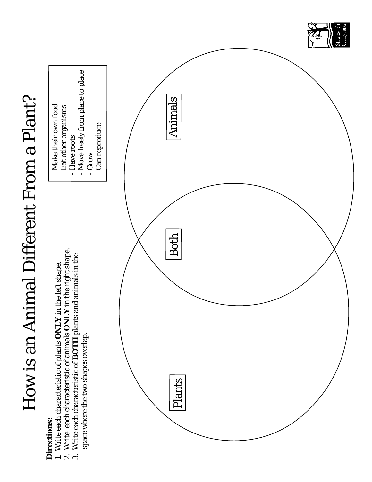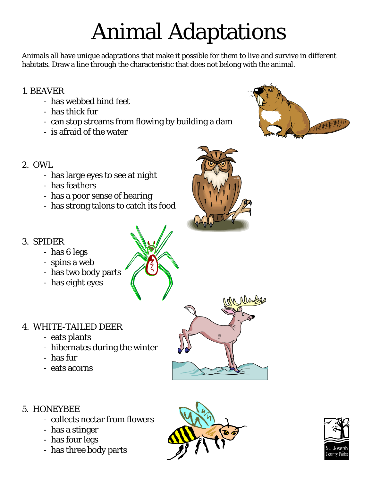# Animal Adaptations

Animals all have unique adaptations that make it possible for them to live and survive in different habitats. Draw a line through the characteristic that does not belong with the animal.

#### 1. BEAVER

- has webbed hind feet
- has thick fur
- can stop streams from flowing by building a dam
- is afraid of the water



- 2. OWL
	- has large eyes to see at night
	- has feathers
	- has a poor sense of hearing
	- has strong talons to catch its food

#### 3. SPIDER

- has 6 legs
- spins a web
- has two body parts
- has eight eyes

#### 4. WHITE-TAILED DEER

- eats plants
- hibernates during the winter
- has fur
- eats acorns



- collects nectar from flowers
- has a stinger
- has four legs
- has three body parts









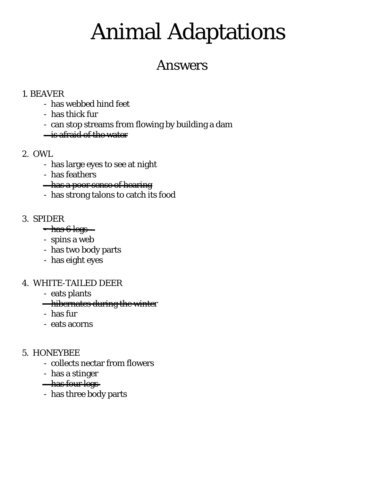## Animal Adaptations

### Answers

#### 1. BEAVER

- has webbed hind feet
- has thick fur
- can stop streams from flowing by building a dam
- is afraid of the water

#### 2. OWL

- has large eyes to see at night
- has feathers
- **has a poor sense of hearing**
- has strong talons to catch its food

#### 3. SPIDER

- $-$  has 6 legs  $-$
- spins a web
- has two body parts
- has eight eyes

#### 4. WHITE-TAILED DEER

- eats plants
- **hibernates during the winter**
- has fur
- eats acorns

#### 5. HONEYBEE

- collects nectar from flowers
- has a stinger
- **-has four legs**
- has three body parts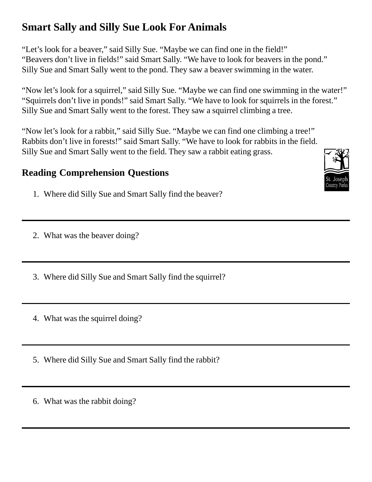### **Smart Sally and Silly Sue Look For Animals**

"Let's look for a beaver," said Silly Sue. "Maybe we can find one in the field!" "Beavers don't live in fields!" said Smart Sally. "We have to look for beavers in the pond." Silly Sue and Smart Sally went to the pond. They saw a beaver swimming in the water.

"Now let's look for a squirrel," said Silly Sue. "Maybe we can find one swimming in the water!" "Squirrels don't live in ponds!" said Smart Sally. "We have to look for squirrels in the forest." Silly Sue and Smart Sally went to the forest. They saw a squirrel climbing a tree.

"Now let's look for a rabbit," said Silly Sue. "Maybe we can find one climbing a tree!" Rabbits don't live in forests!" said Smart Sally. "We have to look for rabbits in the field. Silly Sue and Smart Sally went to the field. They saw a rabbit eating grass.

#### **Reading Comprehension Questions**

1. Where did Silly Sue and Smart Sally find the beaver?

2. What was the beaver doing?

- 3. Where did Silly Sue and Smart Sally find the squirrel?
- 4. What was the squirrel doing?
- 5. Where did Silly Sue and Smart Sally find the rabbit?
- 6. What was the rabbit doing?